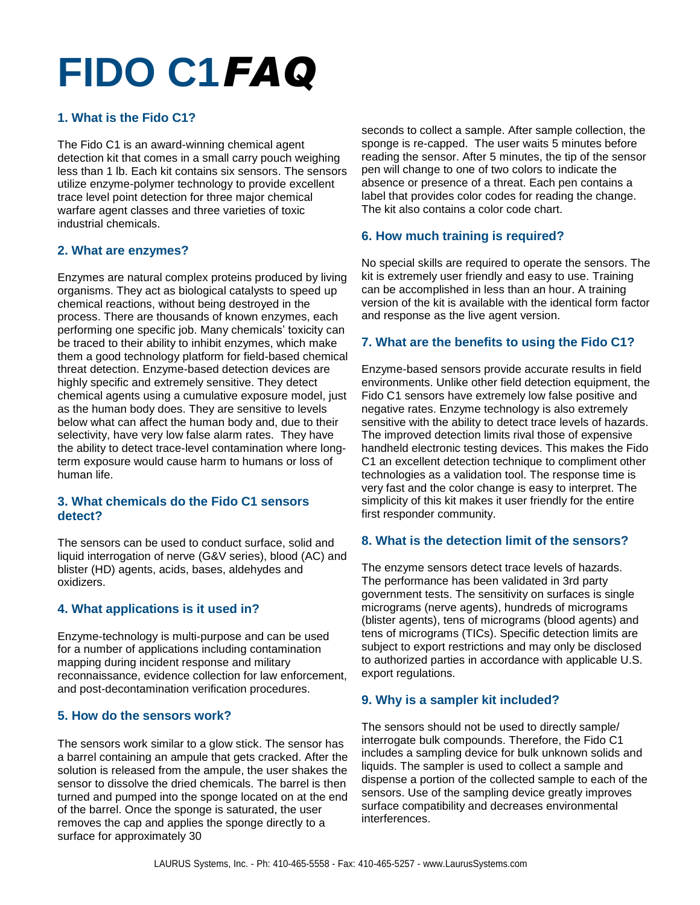# **FIDO C1***FAQ*

# **1. What is the Fido C1?**

The Fido C1 is an award-winning chemical agent detection kit that comes in a small carry pouch weighing less than 1 lb. Each kit contains six sensors. The sensors utilize enzyme-polymer technology to provide excellent trace level point detection for three major chemical warfare agent classes and three varieties of toxic industrial chemicals.

## **2. What are enzymes?**

Enzymes are natural complex proteins produced by living organisms. They act as biological catalysts to speed up chemical reactions, without being destroyed in the process. There are thousands of known enzymes, each performing one specific job. Many chemicals' toxicity can be traced to their ability to inhibit enzymes, which make them a good technology platform for field-based chemical threat detection. Enzyme-based detection devices are highly specific and extremely sensitive. They detect chemical agents using a cumulative exposure model, just as the human body does. They are sensitive to levels below what can affect the human body and, due to their selectivity, have very low false alarm rates. They have the ability to detect trace-level contamination where longterm exposure would cause harm to humans or loss of human life.

## **3. What chemicals do the Fido C1 sensors detect?**

The sensors can be used to conduct surface, solid and liquid interrogation of nerve (G&V series), blood (AC) and blister (HD) agents, acids, bases, aldehydes and oxidizers.

# **4. What applications is it used in?**

Enzyme-technology is multi-purpose and can be used for a number of applications including contamination mapping during incident response and military reconnaissance, evidence collection for law enforcement, and post-decontamination verification procedures.

# **5. How do the sensors work?**

The sensors work similar to a glow stick. The sensor has a barrel containing an ampule that gets cracked. After the solution is released from the ampule, the user shakes the sensor to dissolve the dried chemicals. The barrel is then turned and pumped into the sponge located on at the end of the barrel. Once the sponge is saturated, the user removes the cap and applies the sponge directly to a surface for approximately 30

seconds to collect a sample. After sample collection, the sponge is re-capped. The user waits 5 minutes before reading the sensor. After 5 minutes, the tip of the sensor pen will change to one of two colors to indicate the absence or presence of a threat. Each pen contains a label that provides color codes for reading the change. The kit also contains a color code chart.

# **6. How much training is required?**

No special skills are required to operate the sensors. The kit is extremely user friendly and easy to use. Training can be accomplished in less than an hour. A training version of the kit is available with the identical form factor and response as the live agent version.

## **7. What are the benefits to using the Fido C1?**

Enzyme-based sensors provide accurate results in field environments. Unlike other field detection equipment, the Fido C1 sensors have extremely low false positive and negative rates. Enzyme technology is also extremely sensitive with the ability to detect trace levels of hazards. The improved detection limits rival those of expensive handheld electronic testing devices. This makes the Fido C1 an excellent detection technique to compliment other technologies as a validation tool. The response time is very fast and the color change is easy to interpret. The simplicity of this kit makes it user friendly for the entire first responder community.

# **8. What is the detection limit of the sensors?**

The enzyme sensors detect trace levels of hazards. The performance has been validated in 3rd party government tests. The sensitivity on surfaces is single micrograms (nerve agents), hundreds of micrograms (blister agents), tens of micrograms (blood agents) and tens of micrograms (TICs). Specific detection limits are subject to export restrictions and may only be disclosed to authorized parties in accordance with applicable U.S. export regulations.

# **9. Why is a sampler kit included?**

The sensors should not be used to directly sample/ interrogate bulk compounds. Therefore, the Fido C1 includes a sampling device for bulk unknown solids and liquids. The sampler is used to collect a sample and dispense a portion of the collected sample to each of the sensors. Use of the sampling device greatly improves surface compatibility and decreases environmental interferences.